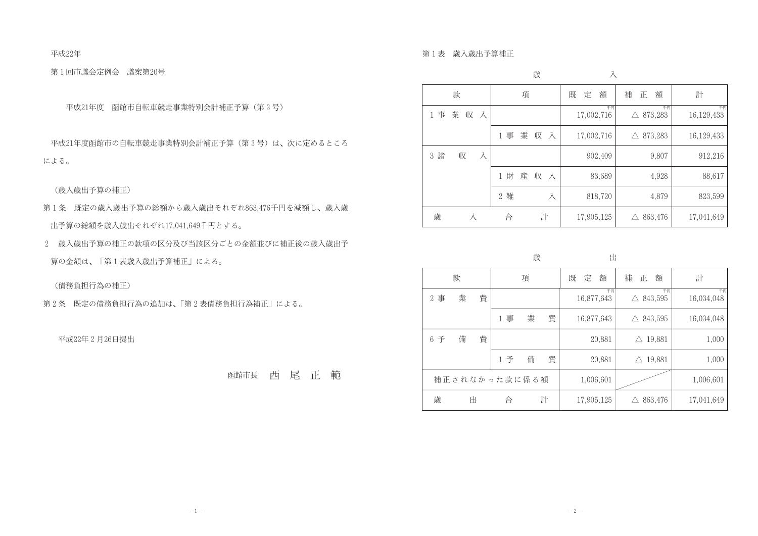平成22年

第1回市議会定例会 議案第20号

平成21年度 函館市自転車競走事業特別会計補正予算(第3号)

平成21年度函館市の自転車競走事業特別会計補正予算(第3号)は、次に定めるところ による。

(歳入歳出予算の補正)

- 第1条 既定の歳入歳出予算の総額から歳入歳出それぞれ863,476千円を減額し、歳入歳 出予算の総額を歳入歳出それぞれ17,041,649千円とする。
- 2 歳入歳出予算の補正の款項の区分及び当該区分ごとの金額並びに補正後の歳入歳出予 算の金額は、「第1表歳入歳出予算補正」による。

(債務負担行為の補正)

第2条 既定の債務負担行為の追加は、「第2表債務負担行為補正」による。

平成22年2月26日提出

函館市長西尾正範

第1表 歳入歳出予算補正

|        |          |   |                     |   | 歳   |   |        | 入                |                        |       |                  |
|--------|----------|---|---------------------|---|-----|---|--------|------------------|------------------------|-------|------------------|
|        | 款        |   |                     | 項 |     |   | 定<br>既 | 額                | 補<br>額<br>正            |       | 計                |
| 1 事    | 業<br>収 入 |   |                     |   |     |   |        | 千円<br>17,002,716 | 873,283<br>$\triangle$ | 千円    | 千円<br>16,129,433 |
|        |          |   | 1 事                 |   | 業収入 |   |        | 17,002,716       | 873,283<br>$\triangle$ |       | 16,129,433       |
| 諸<br>3 | 収        | 入 |                     |   |     |   |        | 902,409          | 9,807                  |       | 912,216          |
|        |          |   | 財<br>$\mathbf 1$    | 産 | 収   | 入 |        | 83,689           |                        | 4,928 | 88,617           |
|        |          |   | 雑<br>$\overline{2}$ |   |     | 入 |        | 818,720          | 4,879                  |       | 823,599          |
| 歳      | 入        |   | 合                   |   | 計   |   |        | 17,905,125       | $\triangle$ 863,476    |       | 17,041,649       |

歳 既 款 項 2事 業 費 1事 業 費 6 予備 費 1予 備 費 補正されなかった款に係る額 歳 出 合 計

出

| 旡<br>額<br>定 | 補 正<br>額            | 計          |
|-------------|---------------------|------------|
| 千円          | 千円                  | 千円         |
| 16,877,643  | 843,595             | 16,034,048 |
| 16,877,643  | $\triangle$ 843,595 | 16,034,048 |
| 20,881      | 19,881<br>$\wedge$  | 1,000      |
| 20,881      | 19,881              | 1,000      |
| 1,006,601   |                     | 1,006,601  |
| 17,905,125  | 863,476             | 17,041,649 |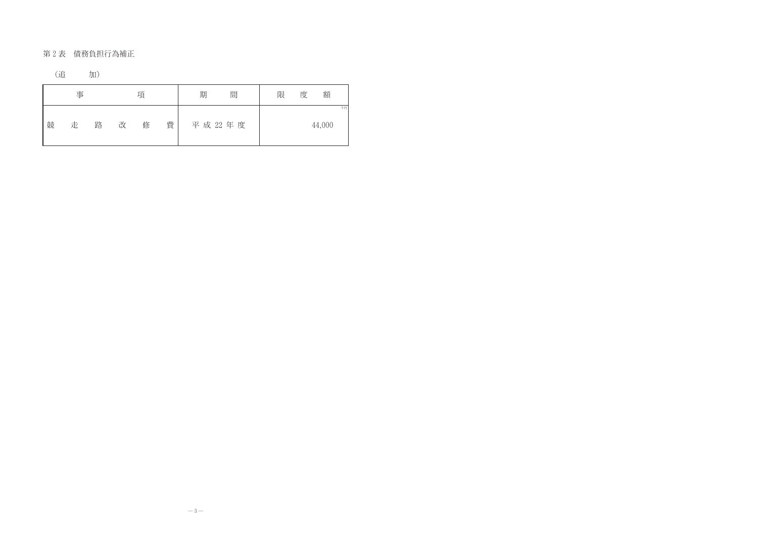第2表 債務負担行為補正

| (追 | 加) |
|----|----|

|   | 事 |   |   | 項 |   | 期 | 間        | 限 | 度 | 額      |    |
|---|---|---|---|---|---|---|----------|---|---|--------|----|
| 競 | 走 | 路 | 改 | 修 | 費 |   | 平成 22 年度 |   |   | 44,000 | 千円 |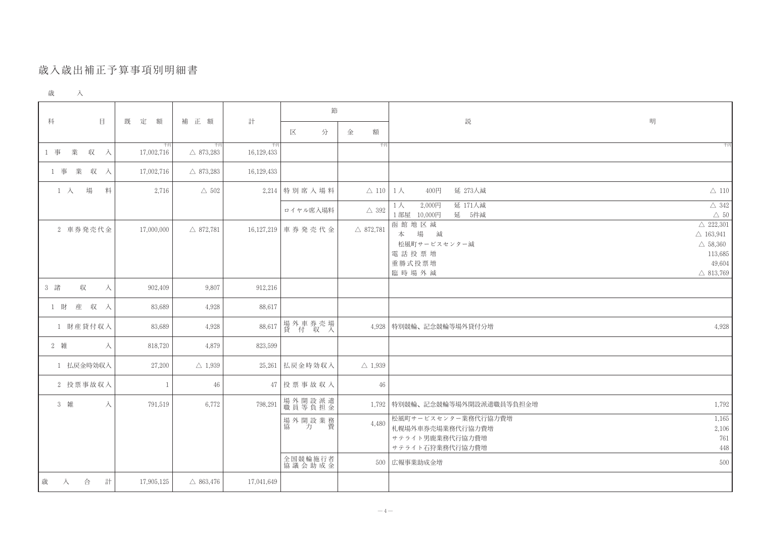## 歲入歲出補正予算事項別明細書

| 歳 |  |
|---|--|
|   |  |

|                          |                  |                           |                  | 節                     |                              |                                                                               |                                                                                                              |
|--------------------------|------------------|---------------------------|------------------|-----------------------|------------------------------|-------------------------------------------------------------------------------|--------------------------------------------------------------------------------------------------------------|
| 科<br>$\Box$              | 既<br>定<br>額      | 補 正 額                     | 計                | 分<br>区                | 金<br>額                       | 説                                                                             | 明                                                                                                            |
| 業<br>1 事<br>収<br>入       | 千円<br>17,002,716 | 千円<br>$\triangle$ 873,283 | 千円<br>16,129,433 |                       | 千円                           |                                                                               | 千円                                                                                                           |
| 1 事 業 収 入                | 17,002,716       | $\triangle$ 873,283       | 16,129,433       |                       |                              |                                                                               |                                                                                                              |
| 場<br>料<br>$1 \lambda$    | 2,716            | $\triangle$ 502           |                  | $2,214$ 特別席入場料        | $\triangle$ 110   1 $\wedge$ | 延 273人減<br>400円                                                               | $\triangle$ 110                                                                                              |
|                          |                  |                           |                  | ロイヤル席入場料              | $\triangle$ 392              | 延 171人減<br>2,000円<br>$1\wedge$<br>延 5件减<br>1部屋 10,000円                        | $\triangle$ 342<br>$\triangle~50$                                                                            |
| 2 車券発売代金                 | 17,000,000       | $\triangle$ 872,781       |                  | 16,127,219 車券発売代金     | $\triangle$ 872,781          | 函館地区減<br>場 減<br>本<br>松風町サービスセンター減<br>電話投票増<br>重勝式投票増<br>臨時場外減                 | $\triangle$ 222,301<br>$\triangle$ 163,941<br>$\triangle$ 58,360<br>113,685<br>49,604<br>$\triangle$ 813,769 |
| 3 諸<br>収<br>入            | 902,409          | 9,807                     | 912,216          |                       |                              |                                                                               |                                                                                                              |
| 産 収 入<br>1 財             | 83,689           | 4,928                     | 88,617           |                       |                              |                                                                               |                                                                                                              |
| 1 財産貸付収入                 | 83,689           | 4,928                     | 88,617           | 場外車券売場<br> 貸 付 収 入    |                              | 4,928 特別競輪、記念競輪等場外貸付分増                                                        | 4,928                                                                                                        |
| 2 雑<br>入                 | 818,720          | 4,879                     | 823,599          |                       |                              |                                                                               |                                                                                                              |
| 1 払戻金時効収入                | 27,200           | $\triangle$ 1,939         |                  | 25,261 払戻金時効収入        | $\triangle$ 1,939            |                                                                               |                                                                                                              |
| 2 投票事故収入                 |                  | 46                        |                  | $47$   投票事故収入         | 46                           |                                                                               |                                                                                                              |
| 3 雑<br>入                 | 791,519          | 6,772                     | 798,291          | 場外開設派遣<br> 職員等負担金     |                              | 1,792 特別競輪、記念競輪等場外開設派遣職員等負担金増                                                 | 1,792                                                                                                        |
|                          |                  |                           |                  | 場外開設業務<br>協<br>費<br>力 | 4,480                        | 松風町サービスセンター業務代行協力費増<br>札幌場外車券売場業務代行協力費増<br>サテライト男鹿業務代行協力費増<br>サテライト石狩業務代行協力費増 | 1,165<br>2,106<br>761<br>448                                                                                 |
|                          |                  |                           |                  | 全国競輪施行者<br>協議 会 助 成 金 |                              | 500   広報事業助成金増                                                                | 500                                                                                                          |
| 歲<br>合<br>計<br>$\lambda$ | 17,905,125       | $\triangle$ 863,476       | 17,041,649       |                       |                              |                                                                               |                                                                                                              |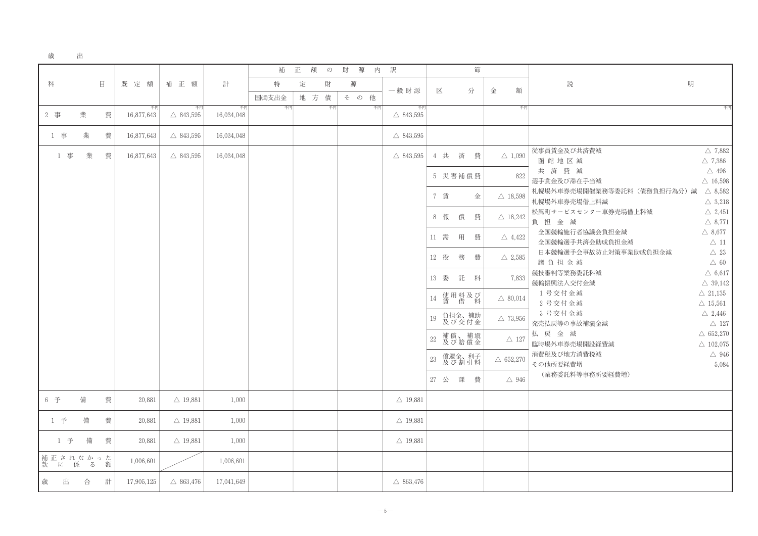| 歳 | 出 |
|---|---|
|   |   |

|                       |   |   |                  |                           |                  | 補     | 正 | 額   | $\mathcal{D}$ | 財<br>源 | 内  | 訳                         |    |      |                    | 節 |   |                     |                    |
|-----------------------|---|---|------------------|---------------------------|------------------|-------|---|-----|---------------|--------|----|---------------------------|----|------|--------------------|---|---|---------------------|--------------------|
| 科                     |   | 目 | 既<br>定 額         | 補 正 額                     | 計                | 特     | 定 |     | 財             | 源      |    | 一般財源                      |    | 区    |                    | 分 | 金 | 額                   | 説                  |
|                       |   |   |                  |                           |                  | 国適支出金 |   | 地 方 | 債             | その     | 他  |                           |    |      |                    |   |   |                     |                    |
| 2 事                   | 業 | 費 | 千円<br>16,877,643 | 千円<br>$\triangle$ 843,595 | 千円<br>16,034,048 | 千円    |   |     | 千円            |        | 千円 | 千円<br>$\triangle$ 843,595 |    |      |                    |   |   | 千円                  |                    |
| 1 事                   | 業 | 費 | 16,877,643       | $\triangle$ 843,595       | 16,034,048       |       |   |     |               |        |    | $\triangle$ 843,595       |    |      |                    |   |   |                     |                    |
| 1 事                   | 業 | 費 | 16,877,643       | $\triangle$ 843,595       | 16,034,048       |       |   |     |               |        |    | $\triangle$ 843,595       |    | 4 共  | 済                  | 費 |   | $\triangle$ 1,090   | 従事員賃金及て<br>函館地区    |
|                       |   |   |                  |                           |                  |       |   |     |               |        |    |                           |    |      | 5 災害補償費            |   |   | 822                 | 共済費<br>選手賞金及び滞     |
|                       |   |   |                  |                           |                  |       |   |     |               |        |    |                           |    | 7 賃  |                    | 金 |   | $\triangle$ 18,598  | 札幌場外車券売<br>札幌場外車券売 |
|                       |   |   |                  |                           |                  |       |   |     |               |        |    |                           | 8  | 報    | 償                  | 費 |   | $\triangle$ 18,242  | 松風町サービフ<br>負担金     |
|                       |   |   |                  |                           |                  |       |   |     |               |        |    |                           |    | 11 需 | 用                  | 費 |   | $\triangle$ 4,422   | 全国競輪施行<br>全国競輪選手   |
|                       |   |   |                  |                           |                  |       |   |     |               |        |    |                           |    | 12 役 | 務                  | 費 |   | $\triangle$ 2,585   | 日本競輪選手<br>諸負担金     |
|                       |   |   |                  |                           |                  |       |   |     |               |        |    |                           | 13 | 委    | 託                  | 料 |   | 7,833               | 競技審判等業務<br>競輪振興法人  |
|                       |   |   |                  |                           |                  |       |   |     |               |        |    |                           | 14 |      | 使用料及び<br>賃 借 料     |   |   | $\triangle$ 80,014  | 1号交付金<br>2号交付金     |
|                       |   |   |                  |                           |                  |       |   |     |               |        |    |                           | 19 |      | 負担金、補助<br>及び交付金    |   |   | $\triangle$ 73,956  | 3号交付金<br>発売払戻等の事   |
|                       |   |   |                  |                           |                  |       |   |     |               |        |    |                           | 22 |      | 補償、補塡<br>及び賠償金     |   |   | $\triangle$ 127     | 払戻金派<br>臨時場外車券売    |
|                       |   |   |                  |                           |                  |       |   |     |               |        |    |                           | 23 |      | 償還金、利子<br>及び 割 引 料 |   |   | $\triangle$ 652,270 | 消費税及び地力<br>その他所要経費 |
|                       |   |   |                  |                           |                  |       |   |     |               |        |    |                           | 27 | 公    | 課                  | 費 |   | $\triangle$ 946     | (業務委託料             |
| 6 予                   | 備 | 費 | 20,881           | $\triangle$ 19,881        | 1,000            |       |   |     |               |        |    | $\triangle$ 19,881        |    |      |                    |   |   |                     |                    |
| 1 予                   | 備 | 費 | 20,881           | $\triangle$ 19,881        | 1,000            |       |   |     |               |        |    | $\triangle$ 19,881        |    |      |                    |   |   |                     |                    |
| 1 予                   | 備 | 費 | 20,881           | $\triangle$ 19,881        | 1,000            |       |   |     |               |        |    | $\triangle$ 19,881        |    |      |                    |   |   |                     |                    |
| 補正されなかった<br>款 に 係 る 額 |   |   | 1,006,601        |                           | 1,006,601        |       |   |     |               |        |    |                           |    |      |                    |   |   |                     |                    |
| 歲<br>出                | 合 | 計 | 17,905,125       | $\triangle$ 863,476       | 17,041,649       |       |   |     |               |        |    | $\triangle$ 863,476       |    |      |                    |   |   |                     |                    |

明

び共済費減  $\triangle$  7,882 減  $\triangle$  7,386 減  $\triangle$  496 带在手当減  $\triangle$  16,598 売場開催業務等委託料(債務負担行為分)減 △ 8,582 売場借上料減  $\triangle$  3,218 スセンター車券売場借上料減  $\triangle$  2,451 咸  $\triangle$  8,771 行者協議会負担金減  $\triangle$  8,677 手共済会助成負担金減  $\triangle$  11 手会事故防止対策事業助成負担金減  $\triangle$  23  $\triangle$  60 減 務委託料減  $\triangle$  6,617 交付金減  $\triangle$  39,142 : 減  $\triangle$  21,135 : 減  $\triangle$  15,561 : 減  $\triangle$  2,446 事故補塡金減  $\triangle$  127 咸  $\triangle$  652,270 売場開設経費減  $\triangle$  102,075 方消費税減  $\triangle$  946 費増 5,084 料等事務所要経費増)